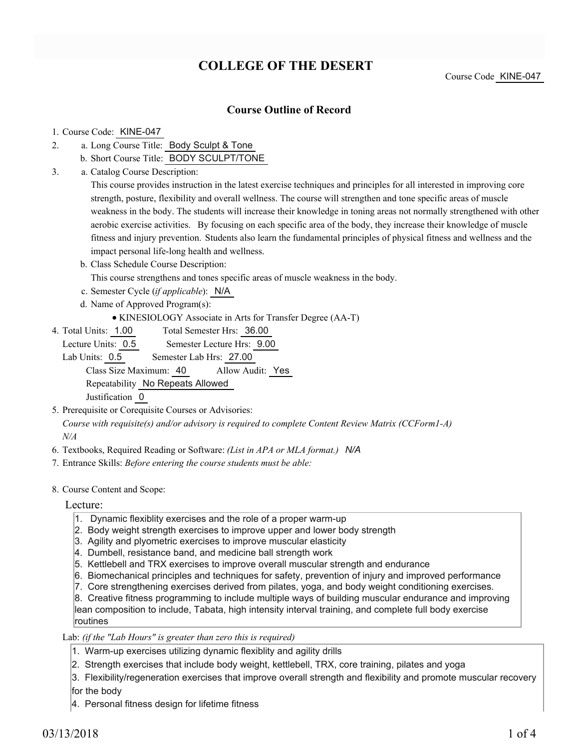## **COLLEGE OF THE DESERT**

Course Code KINE-047

#### **Course Outline of Record**

#### 1. Course Code: KINE-047

- a. Long Course Title: Body Sculpt & Tone 2.
	- b. Short Course Title: BODY SCULPT/TONE
- Catalog Course Description: a. 3.

This course provides instruction in the latest exercise techniques and principles for all interested in improving core strength, posture, flexibility and overall wellness. The course will strengthen and tone specific areas of muscle weakness in the body. The students will increase their knowledge in toning areas not normally strengthened with other aerobic exercise activities. By focusing on each specific area of the body, they increase their knowledge of muscle fitness and injury prevention. Students also learn the fundamental principles of physical fitness and wellness and the impact personal life-long health and wellness.

b. Class Schedule Course Description:

This course strengthens and tones specific areas of muscle weakness in the body.

- c. Semester Cycle (*if applicable*): N/A
- d. Name of Approved Program(s):
	- KINESIOLOGY Associate in Arts for Transfer Degree (AA-T)
- Total Semester Hrs: 36.00 4. Total Units: 1.00

Lecture Units: 0.5 Semester Lecture Hrs: 9.00

Lab Units: 0.5 Semester Lab Hrs: 27.00 Class Size Maximum: 40 Allow Audit: Yes Repeatability No Repeats Allowed Justification 0

- 5. Prerequisite or Corequisite Courses or Advisories: *Course with requisite(s) and/or advisory is required to complete Content Review Matrix (CCForm1-A) N/A*
- 6. Textbooks, Required Reading or Software: *(List in APA or MLA format.) N/A*
- 7. Entrance Skills: *Before entering the course students must be able:*
- 8. Course Content and Scope:

Lecture:

- 1. Dynamic flexiblity exercises and the role of a proper warm-up
- 2. Body weight strength exercises to improve upper and lower body strength
- 3. Agility and plyometric exercises to improve muscular elasticity
- 4. Dumbell, resistance band, and medicine ball strength work
- 5. Kettlebell and TRX exercises to improve overall muscular strength and endurance
- 6. Biomechanical principles and techniques for safety, prevention of injury and improved performance
- 7. Core strengthening exercises derived from pilates, yoga, and body weight conditioning exercises.

8. Creative fitness programming to include multiple ways of building muscular endurance and improving lean composition to include, Tabata, high intensity interval training, and complete full body exercise routines

Lab: *(if the "Lab Hours" is greater than zero this is required)*

- 1. Warm-up exercises utilizing dynamic flexiblity and agility drills
- 2. Strength exercises that include body weight, kettlebell, TRX, core training, pilates and yoga
- 3. Flexibility/regeneration exercises that improve overall strength and flexibility and promote muscular recovery

for the body

4. Personal fitness design for lifetime fitness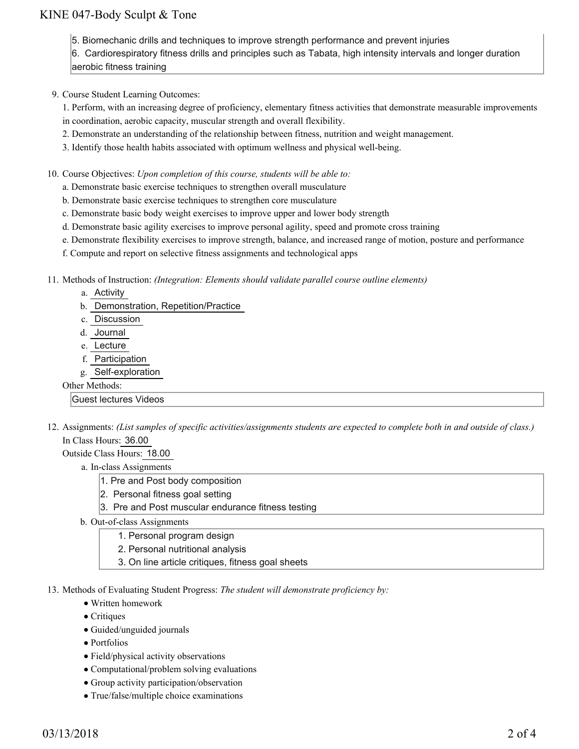### KINE 047-Body Sculpt & Tone

5. Biomechanic drills and techniques to improve strength performance and prevent injuries

6. Cardiorespiratory fitness drills and principles such as Tabata, high intensity intervals and longer duration aerobic fitness training

9. Course Student Learning Outcomes:

1. Perform, with an increasing degree of proficiency, elementary fitness activities that demonstrate measurable improvements

- in coordination, aerobic capacity, muscular strength and overall flexibility.
- 2. Demonstrate an understanding of the relationship between fitness, nutrition and weight management.
- 3. Identify those health habits associated with optimum wellness and physical well-being.
- 10. Course Objectives: Upon completion of this course, students will be able to:
	- a. Demonstrate basic exercise techniques to strengthen overall musculature
	- b. Demonstrate basic exercise techniques to strengthen core musculature
	- c. Demonstrate basic body weight exercises to improve upper and lower body strength
	- d. Demonstrate basic agility exercises to improve personal agility, speed and promote cross training
	- e. Demonstrate flexibility exercises to improve strength, balance, and increased range of motion, posture and performance
	- f. Compute and report on selective fitness assignments and technological apps

Methods of Instruction: *(Integration: Elements should validate parallel course outline elements)* 11.

- a. Activity
- b. Demonstration, Repetition/Practice
- c. Discussion
- d. Journal
- e. Lecture
- f. Participation
- g. Self-exploration

#### Other Methods:

Guest lectures Videos

12. Assignments: (List samples of specific activities/assignments students are expected to complete both in and outside of class.) In Class Hours: 36.00

Outside Class Hours: 18.00

- a. In-class Assignments
	- 1. Pre and Post body composition
	- 2. Personal fitness goal setting
	- 3. Pre and Post muscular endurance fitness testing
- b. Out-of-class Assignments
	- 1. Personal program design
	- 2. Personal nutritional analysis
	- 3. On line article critiques, fitness goal sheets
- 13. Methods of Evaluating Student Progress: The student will demonstrate proficiency by:
	- Written homework
	- Critiques
	- Guided/unguided journals
	- Portfolios
	- Field/physical activity observations
	- Computational/problem solving evaluations
	- Group activity participation/observation
	- True/false/multiple choice examinations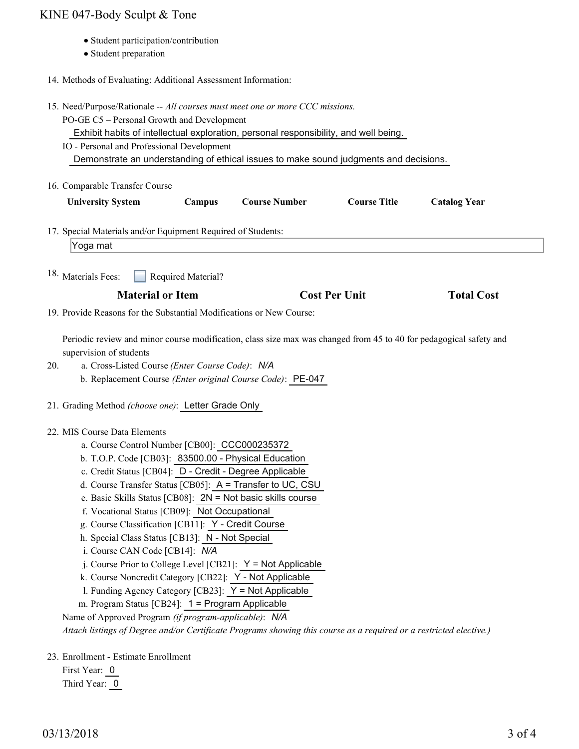# KINE 047-Body Sculpt & Tone

- Student participation/contribution
- Student preparation
- 14. Methods of Evaluating: Additional Assessment Information:

|     | 15. Need/Purpose/Rationale -- All courses must meet one or more CCC missions.<br>PO-GE C5 - Personal Growth and Development<br>Exhibit habits of intellectual exploration, personal responsibility, and well being.                                                                                                                                                                                                                                                                                                                                                                                                                                                                                                                                                                                                                                                                                                                              |
|-----|--------------------------------------------------------------------------------------------------------------------------------------------------------------------------------------------------------------------------------------------------------------------------------------------------------------------------------------------------------------------------------------------------------------------------------------------------------------------------------------------------------------------------------------------------------------------------------------------------------------------------------------------------------------------------------------------------------------------------------------------------------------------------------------------------------------------------------------------------------------------------------------------------------------------------------------------------|
|     | IO - Personal and Professional Development<br>Demonstrate an understanding of ethical issues to make sound judgments and decisions.                                                                                                                                                                                                                                                                                                                                                                                                                                                                                                                                                                                                                                                                                                                                                                                                              |
|     | 16. Comparable Transfer Course                                                                                                                                                                                                                                                                                                                                                                                                                                                                                                                                                                                                                                                                                                                                                                                                                                                                                                                   |
|     | <b>Course Title</b><br><b>University System</b><br>Campus<br><b>Course Number</b><br><b>Catalog Year</b>                                                                                                                                                                                                                                                                                                                                                                                                                                                                                                                                                                                                                                                                                                                                                                                                                                         |
|     | 17. Special Materials and/or Equipment Required of Students:<br>Yoga mat                                                                                                                                                                                                                                                                                                                                                                                                                                                                                                                                                                                                                                                                                                                                                                                                                                                                         |
|     | <sup>18.</sup> Materials Fees:<br>Required Material?                                                                                                                                                                                                                                                                                                                                                                                                                                                                                                                                                                                                                                                                                                                                                                                                                                                                                             |
|     | <b>Material or Item</b><br><b>Cost Per Unit</b><br><b>Total Cost</b>                                                                                                                                                                                                                                                                                                                                                                                                                                                                                                                                                                                                                                                                                                                                                                                                                                                                             |
|     | 19. Provide Reasons for the Substantial Modifications or New Course:                                                                                                                                                                                                                                                                                                                                                                                                                                                                                                                                                                                                                                                                                                                                                                                                                                                                             |
| 20. | Periodic review and minor course modification, class size max was changed from 45 to 40 for pedagogical safety and<br>supervision of students<br>a. Cross-Listed Course (Enter Course Code): N/A<br>b. Replacement Course (Enter original Course Code): PE-047                                                                                                                                                                                                                                                                                                                                                                                                                                                                                                                                                                                                                                                                                   |
|     | 21. Grading Method (choose one): Letter Grade Only                                                                                                                                                                                                                                                                                                                                                                                                                                                                                                                                                                                                                                                                                                                                                                                                                                                                                               |
|     | 22. MIS Course Data Elements<br>a. Course Control Number [CB00]: CCC000235372<br>b. T.O.P. Code [CB03]: 83500.00 - Physical Education<br>c. Credit Status [CB04]: D - Credit - Degree Applicable<br>d. Course Transfer Status [CB05]: A = Transfer to UC, CSU<br>e. Basic Skills Status [CB08]: 2N = Not basic skills course<br>f. Vocational Status [CB09]: Not Occupational<br>g. Course Classification [CB11]: Y - Credit Course<br>h. Special Class Status [CB13]: N - Not Special<br>i. Course CAN Code [CB14]: N/A<br>j. Course Prior to College Level [CB21]: $Y = Not$ Applicable<br>k. Course Noncredit Category [CB22]: Y - Not Applicable<br>1. Funding Agency Category [CB23]: Y = Not Applicable<br>m. Program Status [CB24]: 1 = Program Applicable<br>Name of Approved Program (if program-applicable): N/A<br>Attach listings of Degree and/or Certificate Programs showing this course as a required or a restricted elective.) |
|     | 23. Enrollment - Estimate Enrollment                                                                                                                                                                                                                                                                                                                                                                                                                                                                                                                                                                                                                                                                                                                                                                                                                                                                                                             |

First Year: 0 Third Year:  $\boxed{0}$